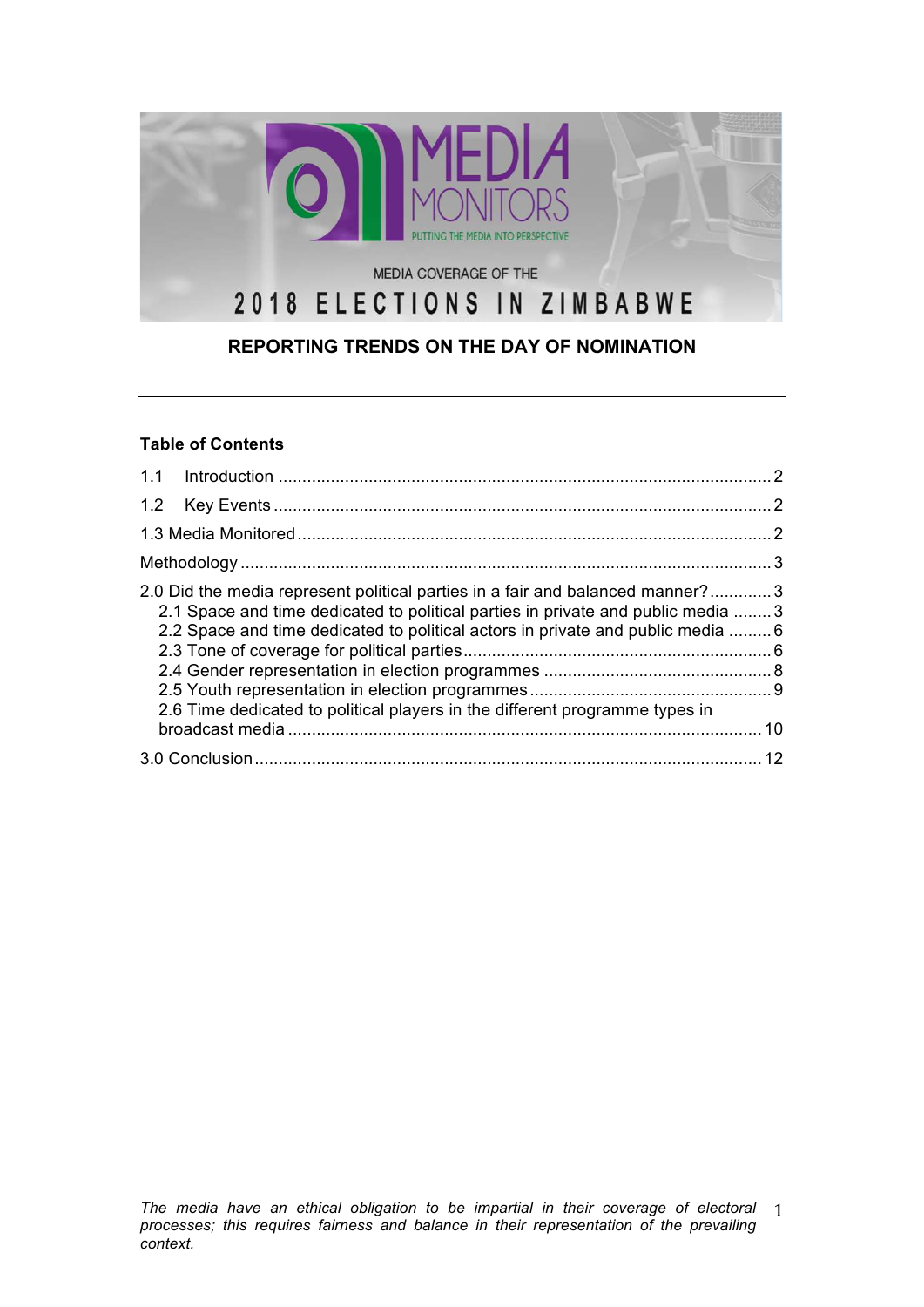

# **REPORTING TRENDS ON THE DAY OF NOMINATION**

### **Table of Contents**

| 2.0 Did the media represent political parties in a fair and balanced manner?3<br>2.1 Space and time dedicated to political parties in private and public media  3<br>2.2 Space and time dedicated to political actors in private and public media 6<br>2.6 Time dedicated to political players in the different programme types in |  |
|------------------------------------------------------------------------------------------------------------------------------------------------------------------------------------------------------------------------------------------------------------------------------------------------------------------------------------|--|
|                                                                                                                                                                                                                                                                                                                                    |  |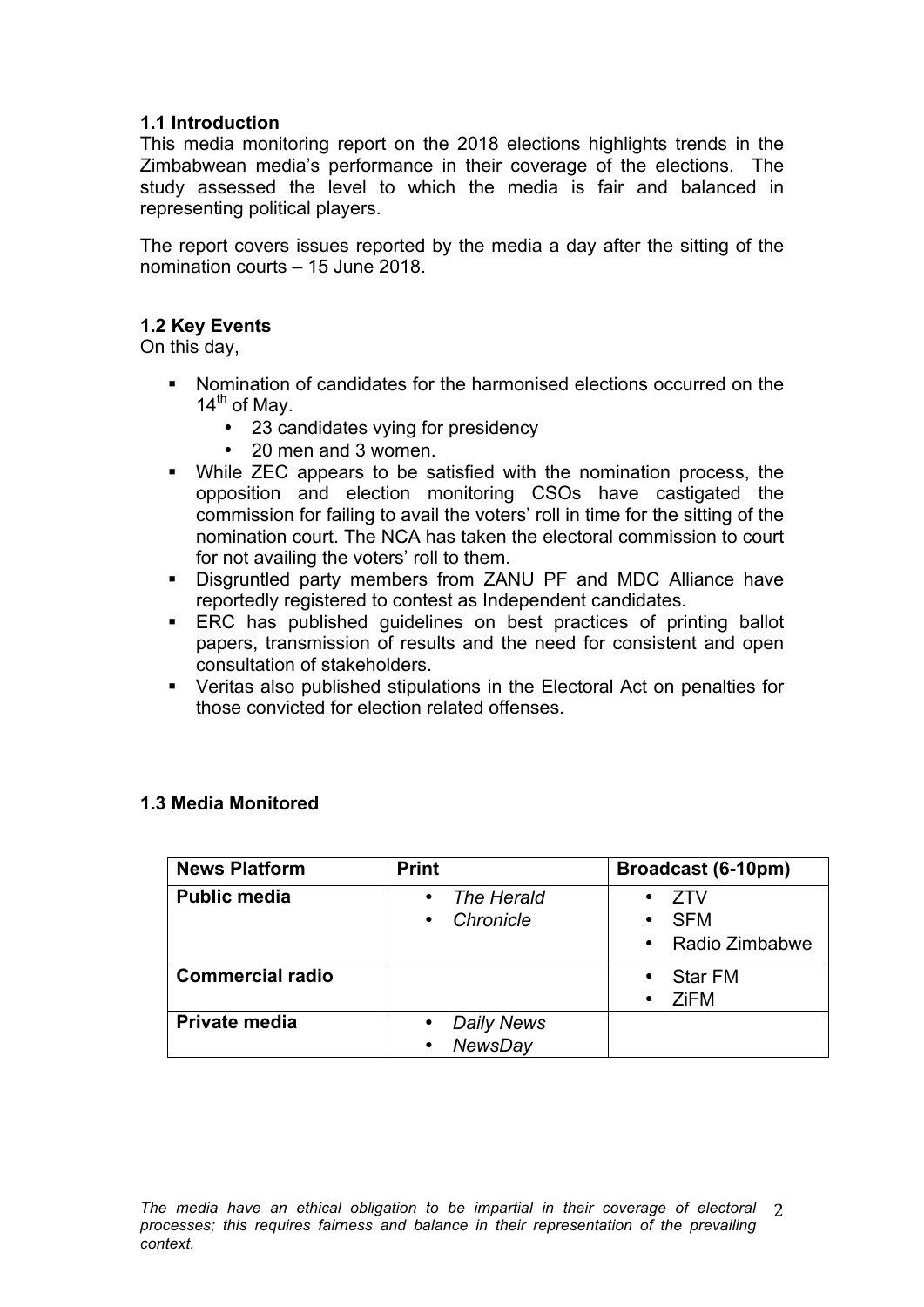## **1.1 Introduction**

This media monitoring report on the 2018 elections highlights trends in the Zimbabwean media's performance in their coverage of the elections. The study assessed the level to which the media is fair and balanced in representing political players.

The report covers issues reported by the media a day after the sitting of the nomination courts – 15 June 2018.

### **1.2 Key Events**

On this day,

- § Nomination of candidates for the harmonised elections occurred on the  $14<sup>th</sup>$  of May.
	- 23 candidates vying for presidency
	- 20 men and 3 women.
- While ZEC appears to be satisfied with the nomination process, the opposition and election monitoring CSOs have castigated the commission for failing to avail the voters' roll in time for the sitting of the nomination court. The NCA has taken the electoral commission to court for not availing the voters' roll to them.
- § Disgruntled party members from ZANU PF and MDC Alliance have reportedly registered to contest as Independent candidates.
- ERC has published quidelines on best practices of printing ballot papers, transmission of results and the need for consistent and open consultation of stakeholders.
- § Veritas also published stipulations in the Electoral Act on penalties for those convicted for election related offenses.

| <b>News Platform</b>    | <b>Print</b>                                                  | Broadcast (6-10pm)                         |
|-------------------------|---------------------------------------------------------------|--------------------------------------------|
| <b>Public media</b>     | The Herald<br>$\bullet$<br>Chronicle<br>$\bullet$             | 7TV<br><b>SFM</b><br>٠<br>• Radio Zimbabwe |
| <b>Commercial radio</b> |                                                               | <b>Star FM</b><br>$\bullet$<br>ZiFM<br>٠   |
| Private media           | <b>Daily News</b><br>$\bullet$<br><b>NewsDay</b><br>$\bullet$ |                                            |

### **1.3 Media Monitored**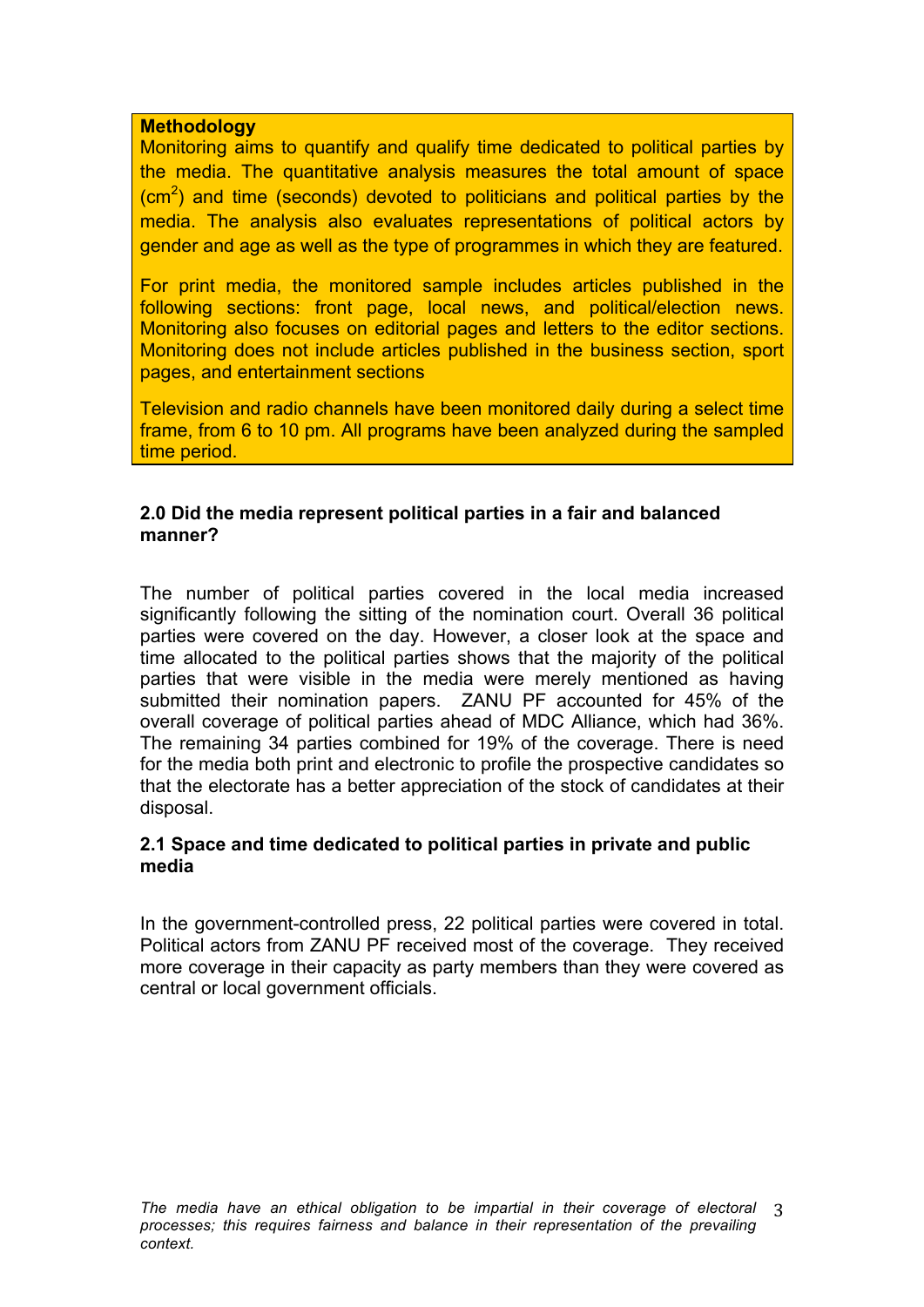### **Methodology**

Monitoring aims to quantify and qualify time dedicated to political parties by the media. The quantitative analysis measures the total amount of space  $\rm (cm^2)$  and time (seconds) devoted to politicians and political parties by the media. The analysis also evaluates representations of political actors by gender and age as well as the type of programmes in which they are featured.

For print media, the monitored sample includes articles published in the following sections: front page, local news, and political/election news. Monitoring also focuses on editorial pages and letters to the editor sections. Monitoring does not include articles published in the business section, sport pages, and entertainment sections

Television and radio channels have been monitored daily during a select time frame, from 6 to 10 pm. All programs have been analyzed during the sampled time period.

### **2.0 Did the media represent political parties in a fair and balanced manner?**

The number of political parties covered in the local media increased significantly following the sitting of the nomination court. Overall 36 political parties were covered on the day. However, a closer look at the space and time allocated to the political parties shows that the majority of the political parties that were visible in the media were merely mentioned as having submitted their nomination papers. ZANU PF accounted for 45% of the overall coverage of political parties ahead of MDC Alliance, which had 36%. The remaining 34 parties combined for 19% of the coverage. There is need for the media both print and electronic to profile the prospective candidates so that the electorate has a better appreciation of the stock of candidates at their disposal.

### **2.1 Space and time dedicated to political parties in private and public media**

In the government-controlled press, 22 political parties were covered in total. Political actors from ZANU PF received most of the coverage. They received more coverage in their capacity as party members than they were covered as central or local government officials.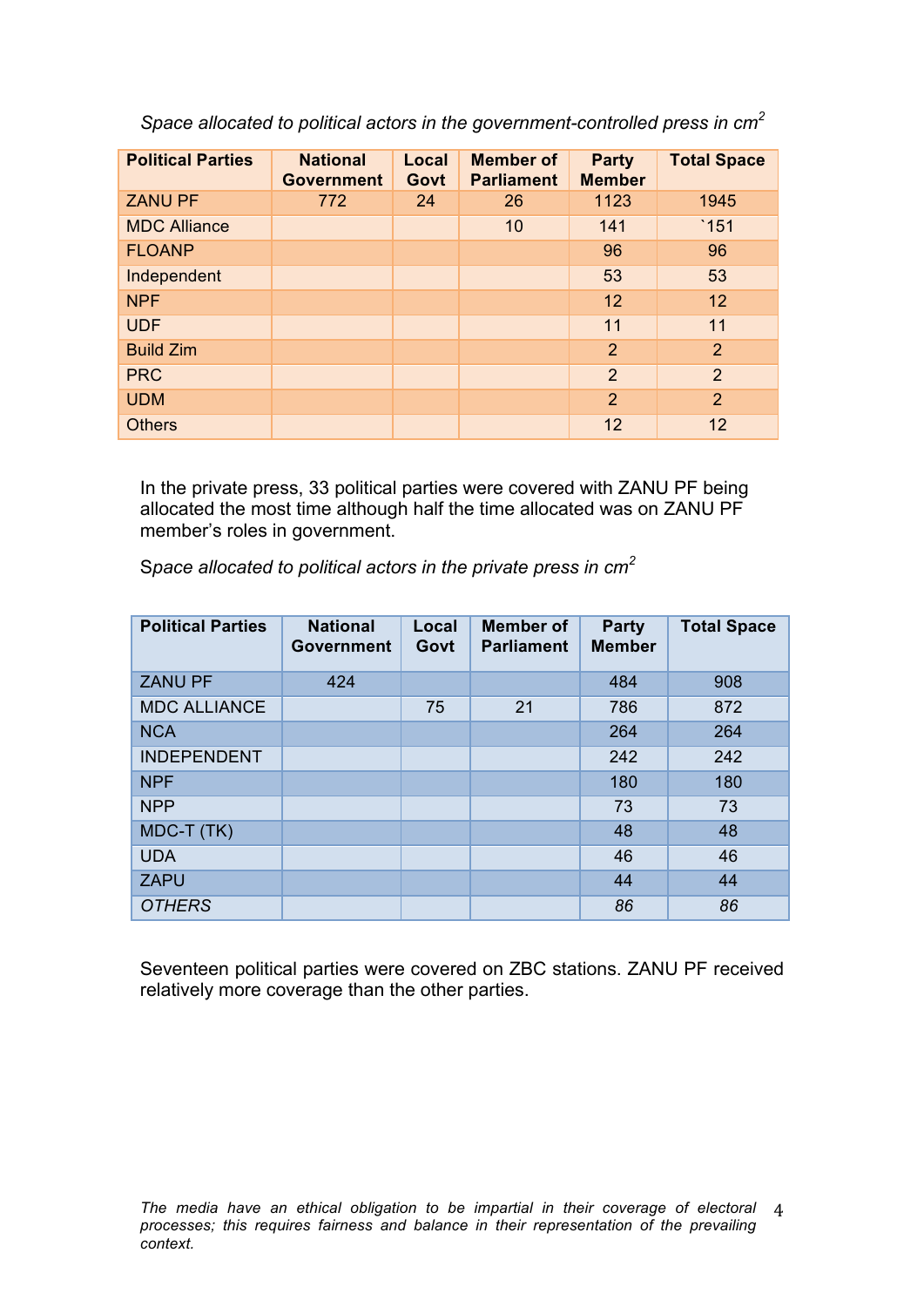*Space allocated to political actors in the government-controlled press in cm<sup>2</sup>*

| <b>Political Parties</b> | <b>National</b><br><b>Government</b> | Local<br>Govt | <b>Member of</b><br><b>Parliament</b> | <b>Party</b><br><b>Member</b> | <b>Total Space</b> |
|--------------------------|--------------------------------------|---------------|---------------------------------------|-------------------------------|--------------------|
| <b>ZANU PF</b>           | 772                                  | 24            | 26                                    | 1123                          | 1945               |
| <b>MDC Alliance</b>      |                                      |               | 10                                    | 141                           | $`151$             |
| <b>FLOANP</b>            |                                      |               |                                       | 96                            | 96                 |
| Independent              |                                      |               |                                       | 53                            | 53                 |
| <b>NPF</b>               |                                      |               |                                       | 12                            | 12                 |
| <b>UDF</b>               |                                      |               |                                       | 11                            | 11                 |
| <b>Build Zim</b>         |                                      |               |                                       | $\overline{2}$                | 2                  |
| <b>PRC</b>               |                                      |               |                                       | $\overline{2}$                | 2                  |
| <b>UDM</b>               |                                      |               |                                       | $\overline{2}$                | 2                  |
| <b>Others</b>            |                                      |               |                                       | 12                            | 12                 |

In the private press, 33 political parties were covered with ZANU PF being allocated the most time although half the time allocated was on ZANU PF member's roles in government.

S*pace allocated to political actors in the private press in cm<sup>2</sup>*

| <b>Political Parties</b> | <b>National</b><br><b>Government</b> | Local<br>Govt | <b>Member of</b><br><b>Parliament</b> | Party<br><b>Member</b> | <b>Total Space</b> |
|--------------------------|--------------------------------------|---------------|---------------------------------------|------------------------|--------------------|
| <b>ZANU PF</b>           | 424                                  |               |                                       | 484                    | 908                |
| <b>MDC ALLIANCE</b>      |                                      | 75            | 21                                    | 786                    | 872                |
| <b>NCA</b>               |                                      |               |                                       | 264                    | 264                |
| <b>INDEPENDENT</b>       |                                      |               |                                       | 242                    | 242                |
| <b>NPF</b>               |                                      |               |                                       | 180                    | 180                |
| <b>NPP</b>               |                                      |               |                                       | 73                     | 73                 |
| MDC-T (TK)               |                                      |               |                                       | 48                     | 48                 |
| <b>UDA</b>               |                                      |               |                                       | 46                     | 46                 |
| <b>ZAPU</b>              |                                      |               |                                       | 44                     | 44                 |
| <b>OTHERS</b>            |                                      |               |                                       | 86                     | 86                 |

Seventeen political parties were covered on ZBC stations. ZANU PF received relatively more coverage than the other parties.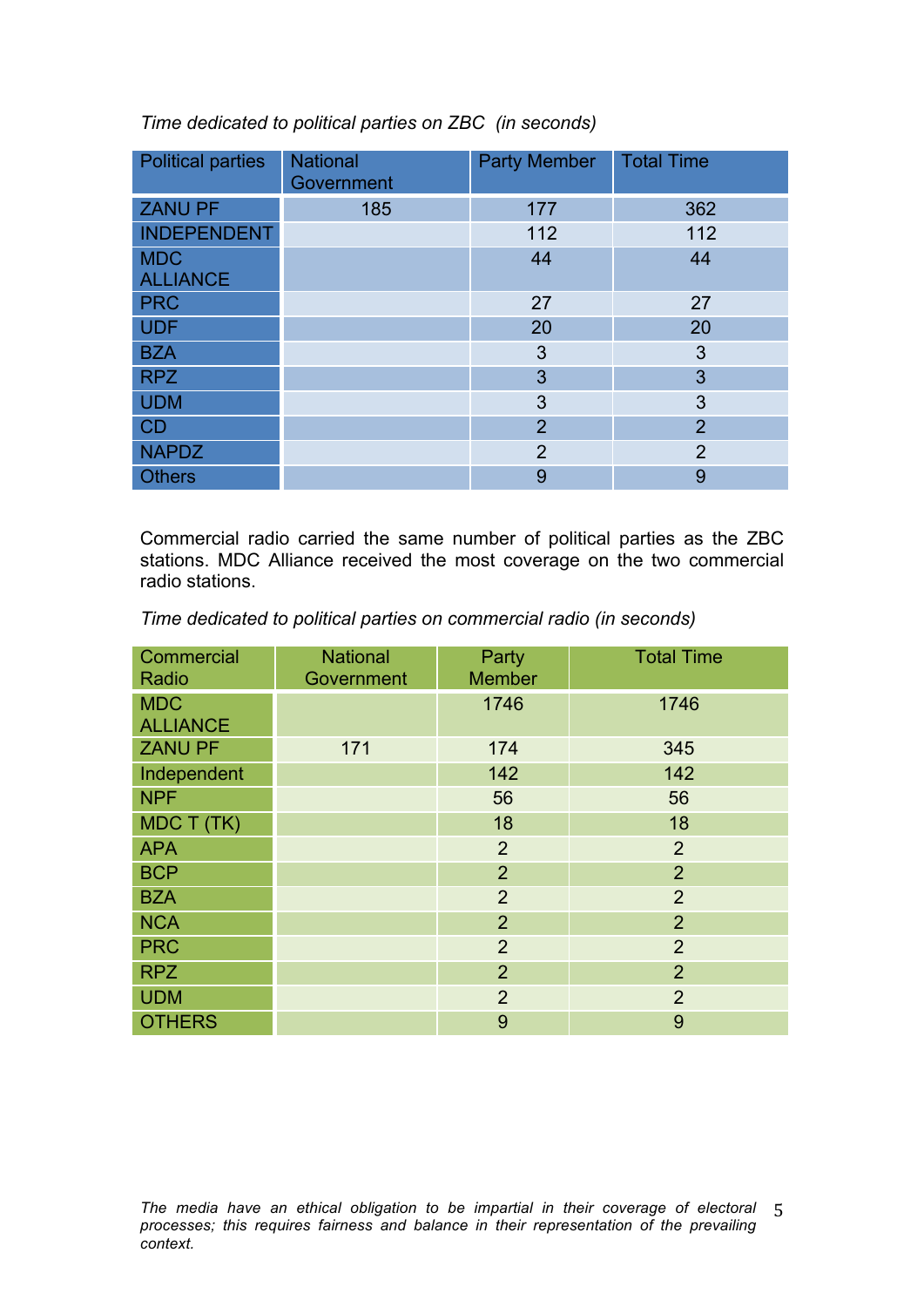*Time dedicated to political parties on ZBC (in seconds)* 

| <b>Political parties</b>      | <b>National</b><br>Government | <b>Party Member</b> | <b>Total Time</b> |
|-------------------------------|-------------------------------|---------------------|-------------------|
| <b>ZANU PF</b>                | 185                           | 177                 | 362               |
| <b>INDEPENDENT</b>            |                               | 112                 | 112               |
| <b>MDC</b><br><b>ALLIANCE</b> |                               | 44                  | 44                |
| <b>PRC</b>                    |                               | 27                  | 27                |
| <b>UDF</b>                    |                               | 20                  | 20                |
| <b>BZA</b>                    |                               | 3                   | 3                 |
| <b>RPZ</b>                    |                               | 3                   | 3                 |
| <b>UDM</b>                    |                               | 3                   | 3                 |
| CD                            |                               | $\overline{2}$      | $\overline{2}$    |
| <b>NAPDZ</b>                  |                               | $\overline{2}$      | $\overline{2}$    |
| <b>Others</b>                 |                               | 9                   | 9                 |

Commercial radio carried the same number of political parties as the ZBC stations. MDC Alliance received the most coverage on the two commercial radio stations.

*Time dedicated to political parties on commercial radio (in seconds)* 

| Commercial<br>Radio           | <b>National</b><br>Government | Party<br><b>Member</b> | <b>Total Time</b> |
|-------------------------------|-------------------------------|------------------------|-------------------|
| <b>MDC</b><br><b>ALLIANCE</b> |                               | 1746                   | 1746              |
| <b>ZANU PF</b>                | 171                           | 174                    | 345               |
| Independent                   |                               | 142                    | 142               |
| <b>NPF</b>                    |                               | 56                     | 56                |
| MDC T (TK)                    |                               | 18                     | 18                |
| <b>APA</b>                    |                               | $\overline{2}$         | $\overline{2}$    |
| <b>BCP</b>                    |                               | $\overline{2}$         | $\overline{2}$    |
| <b>BZA</b>                    |                               | $\overline{2}$         | $\overline{2}$    |
| <b>NCA</b>                    |                               | $\overline{2}$         | $\overline{2}$    |
| <b>PRC</b>                    |                               | $\overline{2}$         | $\overline{2}$    |
| <b>RPZ</b>                    |                               | $\overline{2}$         | $\overline{2}$    |
| <b>UDM</b>                    |                               | $\overline{2}$         | $\overline{2}$    |
| <b>OTHERS</b>                 |                               | 9                      | 9                 |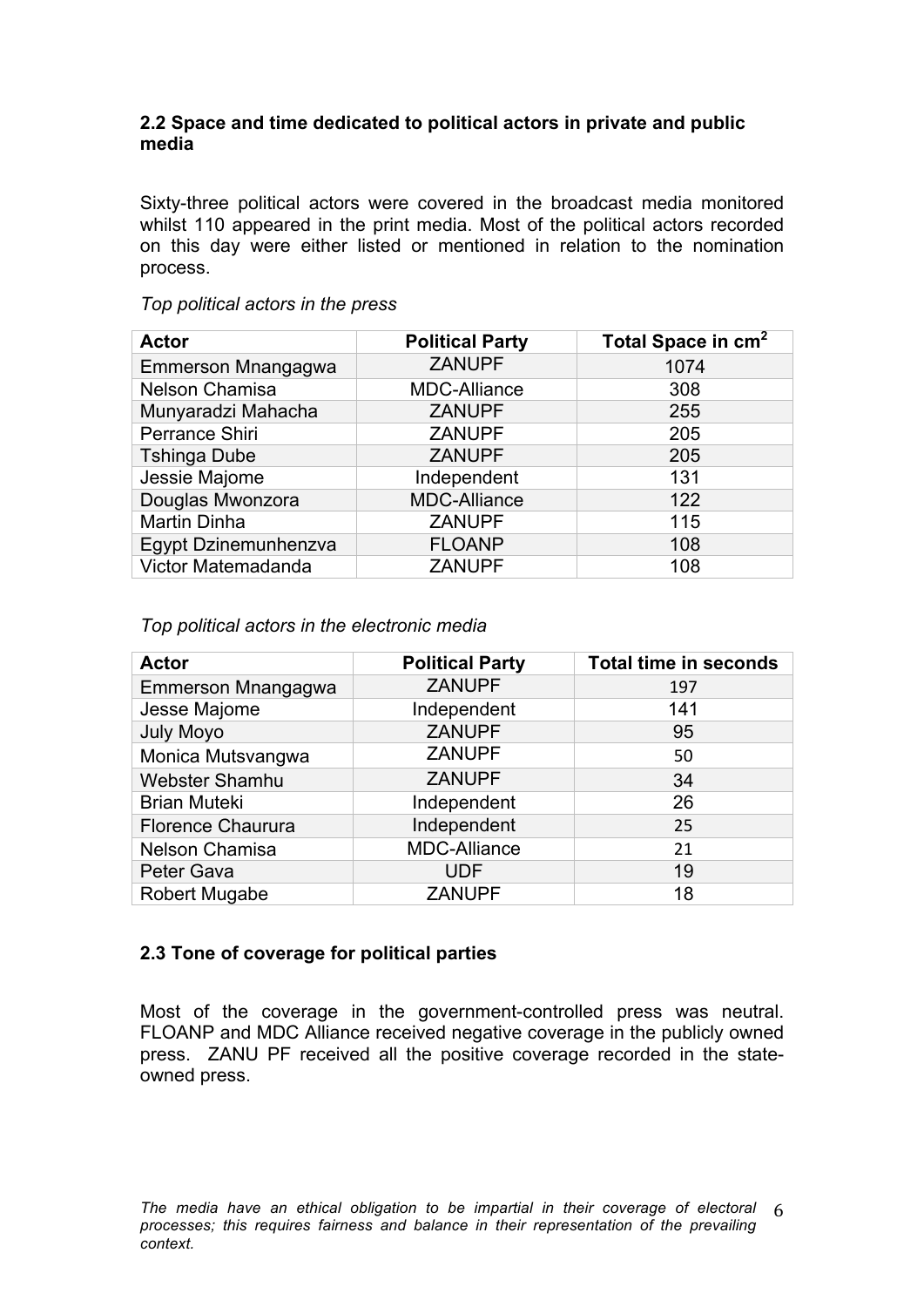### **2.2 Space and time dedicated to political actors in private and public media**

Sixty-three political actors were covered in the broadcast media monitored whilst 110 appeared in the print media. Most of the political actors recorded on this day were either listed or mentioned in relation to the nomination process.

#### *Top political actors in the press*

| <b>Actor</b>         | <b>Political Party</b> | Total Space in cm <sup>2</sup> |
|----------------------|------------------------|--------------------------------|
| Emmerson Mnangagwa   | <b>ZANUPF</b>          | 1074                           |
| Nelson Chamisa       | <b>MDC-Alliance</b>    | 308                            |
| Munyaradzi Mahacha   | <b>ZANUPF</b>          | 255                            |
| Perrance Shiri       | <b>ZANUPF</b>          | 205                            |
| <b>Tshinga Dube</b>  | <b>ZANUPF</b>          | 205                            |
| Jessie Majome        | Independent            | 131                            |
| Douglas Mwonzora     | <b>MDC-Alliance</b>    | 122                            |
| <b>Martin Dinha</b>  | <b>ZANUPF</b>          | 115                            |
| Egypt Dzinemunhenzva | <b>FLOANP</b>          | 108                            |
| Victor Matemadanda   | <b>ZANUPF</b>          | 108                            |

*Top political actors in the electronic media* 

| <b>Actor</b>             | <b>Political Party</b> | <b>Total time in seconds</b> |
|--------------------------|------------------------|------------------------------|
| Emmerson Mnangagwa       | <b>ZANUPF</b>          | 197                          |
| Jesse Majome             | Independent            | 141                          |
| <b>July Moyo</b>         | <b>ZANUPF</b>          | 95                           |
| Monica Mutsvangwa        | <b>ZANUPF</b>          | 50                           |
| <b>Webster Shamhu</b>    | <b>ZANUPF</b>          | 34                           |
| <b>Brian Muteki</b>      | Independent            | 26                           |
| <b>Florence Chaurura</b> | Independent            | 25                           |
| Nelson Chamisa           | <b>MDC-Alliance</b>    | 21                           |
| Peter Gava               | <b>UDF</b>             | 19                           |
| <b>Robert Mugabe</b>     | <b>ZANUPF</b>          | 18                           |

## **2.3 Tone of coverage for political parties**

Most of the coverage in the government-controlled press was neutral. FLOANP and MDC Alliance received negative coverage in the publicly owned press. ZANU PF received all the positive coverage recorded in the stateowned press.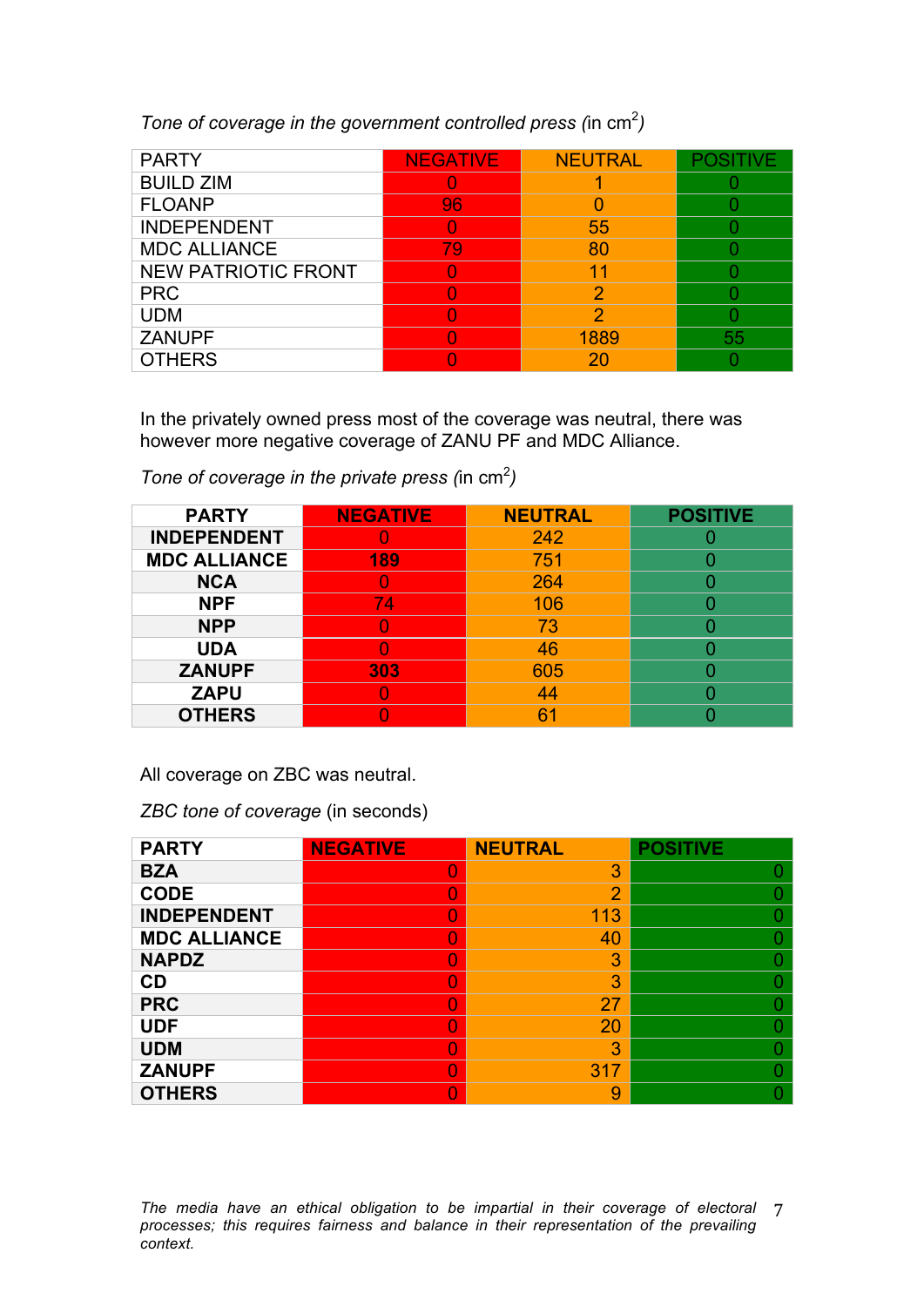*Tone of coverage in the government controlled press (in cm<sup>2</sup>)* 

| <b>PARTY</b>               | <b>NEGATIVE</b> | <b>NEUTRAL</b> |    |
|----------------------------|-----------------|----------------|----|
| <b>BUILD ZIM</b>           |                 |                |    |
| <b>FLOANP</b>              | 96              |                |    |
| <b>INDEPENDENT</b>         |                 | 55             |    |
| <b>MDC ALLIANCE</b>        | 79              | 80             |    |
| <b>NEW PATRIOTIC FRONT</b> |                 | 4              |    |
| <b>PRC</b>                 |                 |                |    |
| <b>UDM</b>                 |                 |                |    |
| <b>ZANUPF</b>              |                 | 1889           | 55 |
| <b>OTHERS</b>              |                 | 20             |    |

In the privately owned press most of the coverage was neutral, there was however more negative coverage of ZANU PF and MDC Alliance.

*Tone of coverage in the private press (in cm<sup>2</sup>)* 

| <b>PARTY</b>        | <b>NEGATIVE</b> | <b>NEUTRAL</b> | <b>POSITIVE</b> |
|---------------------|-----------------|----------------|-----------------|
| <b>INDEPENDENT</b>  |                 | 242            |                 |
| <b>MDC ALLIANCE</b> | 189             | 751            |                 |
| <b>NCA</b>          |                 | 264            |                 |
| <b>NPF</b>          | 74              | 106            |                 |
| <b>NPP</b>          |                 | 73             |                 |
| <b>UDA</b>          |                 | 46             |                 |
| <b>ZANUPF</b>       | 303             | 605            |                 |
| <b>ZAPU</b>         |                 | 44             |                 |
| <b>OTHERS</b>       |                 | 6              |                 |

All coverage on ZBC was neutral.

*ZBC tone of coverage* (in seconds)

| <b>PARTY</b>        | <b>NEGATIVE</b> | <b>NEUTRAL</b> | <b>POSITIVE</b> |
|---------------------|-----------------|----------------|-----------------|
| <b>BZA</b>          |                 | 3              |                 |
| <b>CODE</b>         |                 | $\overline{2}$ |                 |
| <b>INDEPENDENT</b>  |                 | 113            |                 |
| <b>MDC ALLIANCE</b> |                 | 40             |                 |
| <b>NAPDZ</b>        |                 | 3              |                 |
| CD                  |                 | 3              |                 |
| <b>PRC</b>          |                 | 27             |                 |
| <b>UDF</b>          |                 | 20             |                 |
| <b>UDM</b>          |                 | 3              |                 |
| <b>ZANUPF</b>       |                 | 317            |                 |
| <b>OTHERS</b>       |                 | 9              |                 |

The media have an ethical obligation to be impartial in their coverage of electoral 7 *processes; this requires fairness and balance in their representation of the prevailing context.*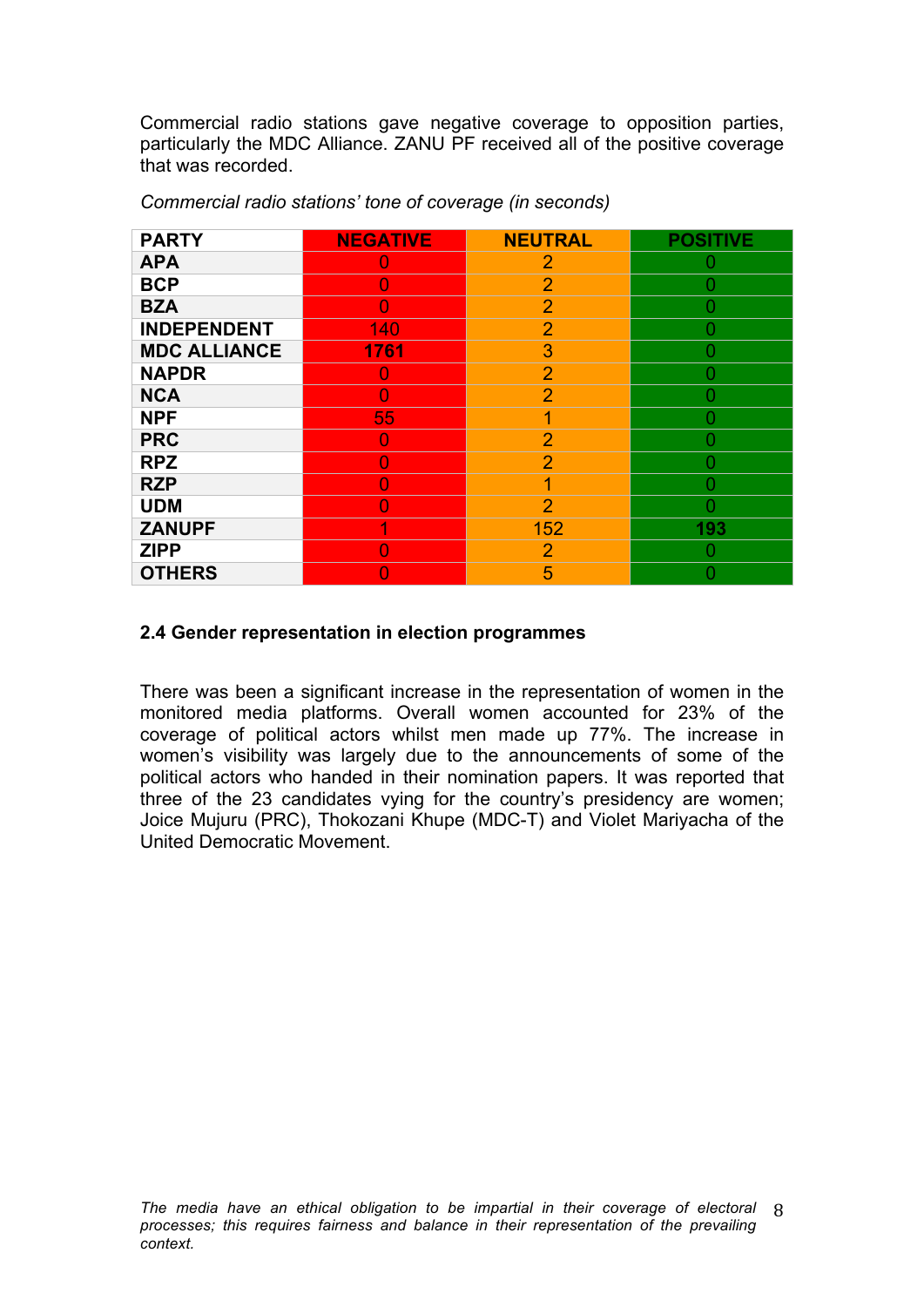Commercial radio stations gave negative coverage to opposition parties, particularly the MDC Alliance. ZANU PF received all of the positive coverage that was recorded.

| <b>PARTY</b>        | <b>NEGATIVE</b> | <b>NEUTRAL</b> | <b>POSITIVE</b> |
|---------------------|-----------------|----------------|-----------------|
| <b>APA</b>          | U               | $\overline{2}$ |                 |
| <b>BCP</b>          | 0               | $\overline{2}$ |                 |
| <b>BZA</b>          | $\cup$          | $\overline{2}$ |                 |
| <b>INDEPENDENT</b>  | 140             | $\overline{2}$ |                 |
| <b>MDC ALLIANCE</b> | 1761            | 3              |                 |
| <b>NAPDR</b>        | U               | $\overline{2}$ |                 |
| <b>NCA</b>          | O               | $\overline{2}$ | O               |
| <b>NPF</b>          | 55              | 1              |                 |
| <b>PRC</b>          | O               | $\overline{2}$ |                 |
| <b>RPZ</b>          | O               | $\overline{2}$ | 0               |
| <b>RZP</b>          | O               | 1              |                 |
| <b>UDM</b>          | O               | $\overline{2}$ | 0               |
| <b>ZANUPF</b>       | 4               | 152            | 193             |
| <b>ZIPP</b>         |                 | 2              |                 |
| <b>OTHERS</b>       |                 | 5              |                 |

*Commercial radio stations' tone of coverage (in seconds)* 

### **2.4 Gender representation in election programmes**

There was been a significant increase in the representation of women in the monitored media platforms. Overall women accounted for 23% of the coverage of political actors whilst men made up 77%. The increase in women's visibility was largely due to the announcements of some of the political actors who handed in their nomination papers. It was reported that three of the 23 candidates vying for the country's presidency are women; Joice Mujuru (PRC), Thokozani Khupe (MDC-T) and Violet Mariyacha of the United Democratic Movement.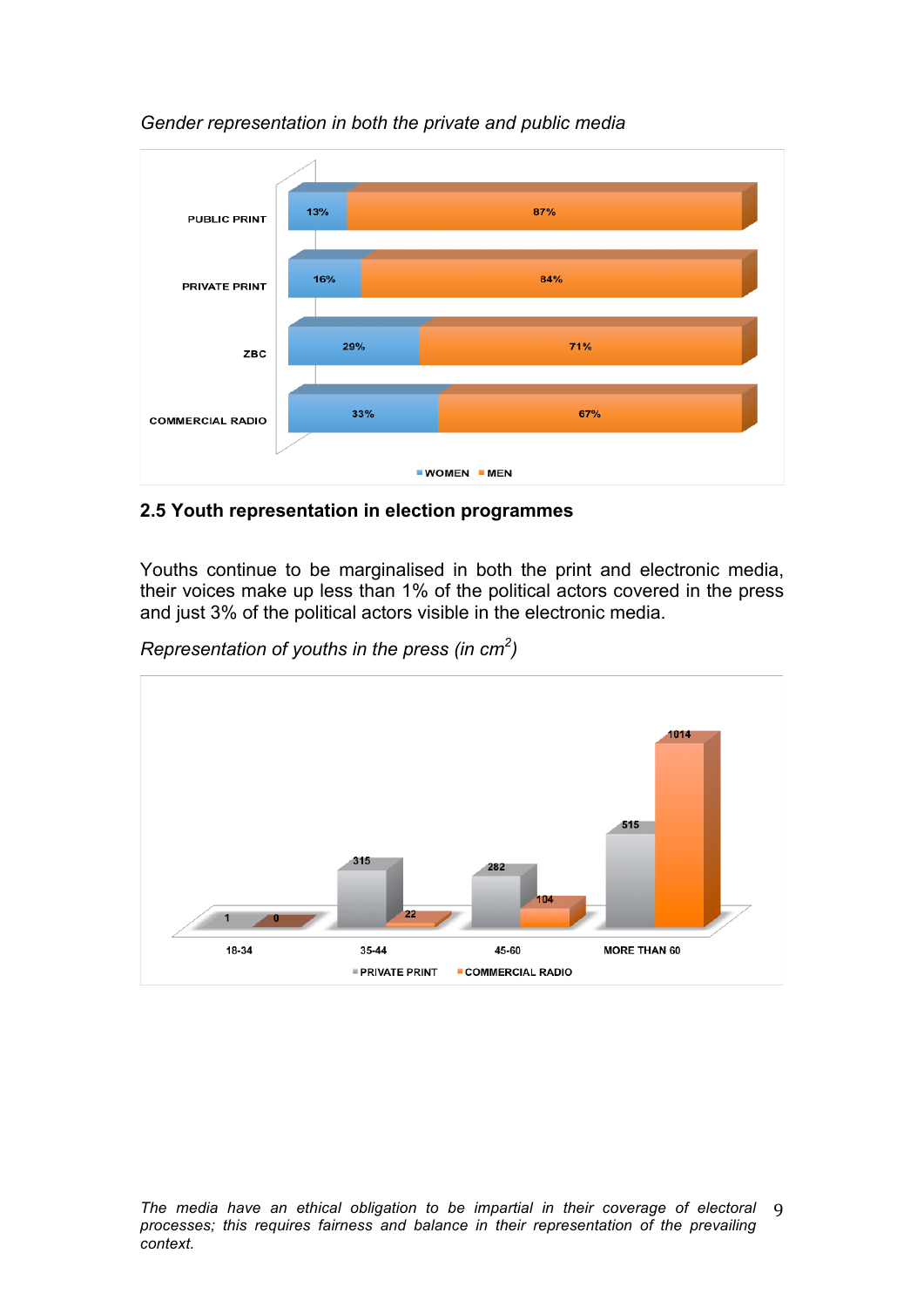

*Gender representation in both the private and public media* 

## **2.5 Youth representation in election programmes**

Youths continue to be marginalised in both the print and electronic media, their voices make up less than 1% of the political actors covered in the press and just 3% of the political actors visible in the electronic media.

*Representation of youths in the press (in cm<sup>2</sup> )* 

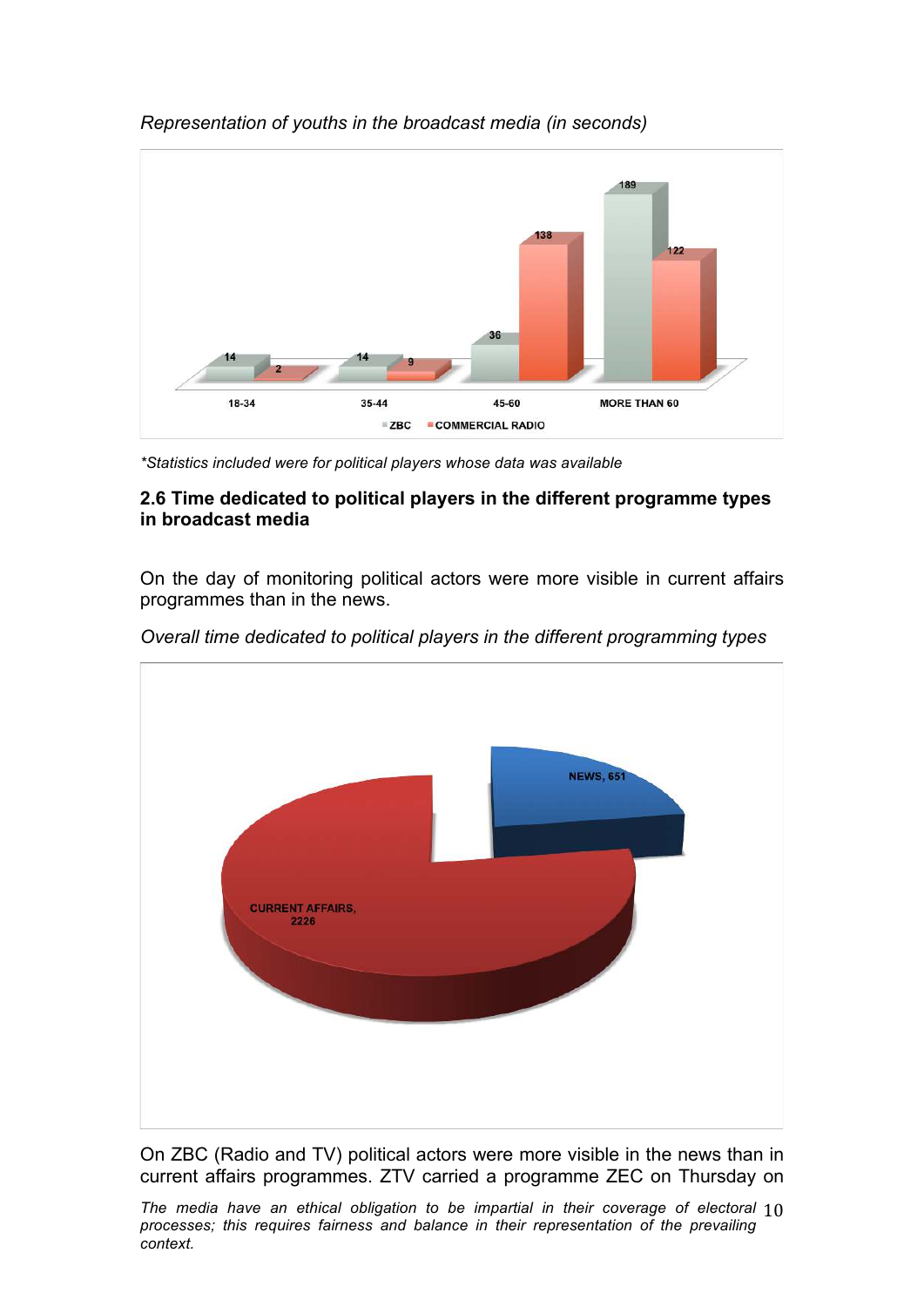

# *Representation of youths in the broadcast media (in seconds)*

*\*Statistics included were for political players whose data was available*

### **2.6 Time dedicated to political players in the different programme types in broadcast media**

On the day of monitoring political actors were more visible in current affairs programmes than in the news.



*Overall time dedicated to political players in the different programming types* 

On ZBC (Radio and TV) political actors were more visible in the news than in current affairs programmes. ZTV carried a programme ZEC on Thursday on

The media have an ethical obligation to be impartial in their coverage of electoral  $10$ *processes; this requires fairness and balance in their representation of the prevailing context.*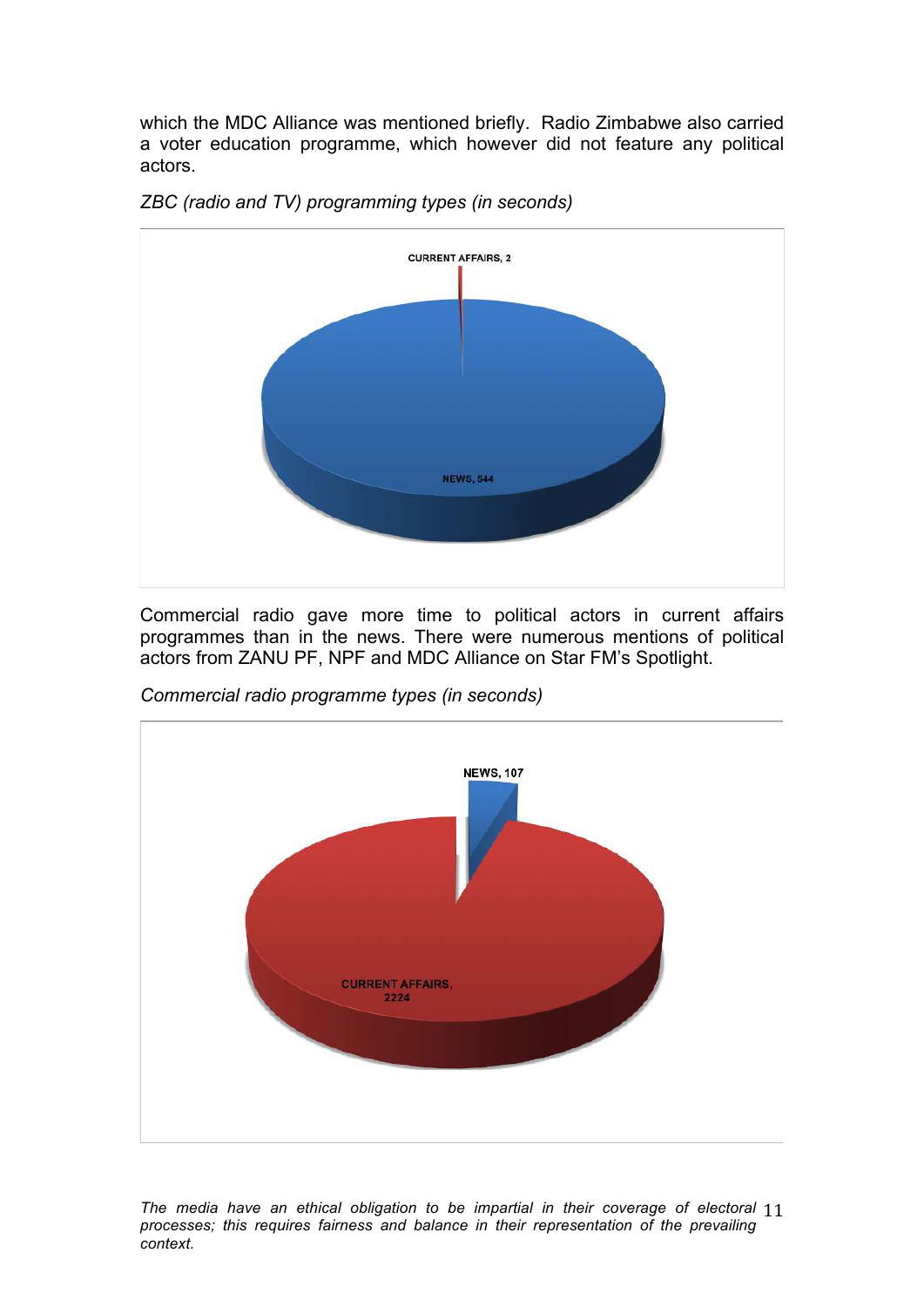which the MDC Alliance was mentioned briefly. Radio Zimbabwe also carried a voter education programme, which however did not feature any political actors.



*ZBC (radio and TV) programming types (in seconds)* 

Commercial radio gave more time to political actors in current affairs programmes than in the news. There were numerous mentions of political actors from ZANU PF, NPF and MDC Alliance on Star FM's Spotlight.



*Commercial radio programme types (in seconds)* 

The media have an ethical obligation to be impartial in their coverage of electoral 11 *processes; this requires fairness and balance in their representation of the prevailing context.*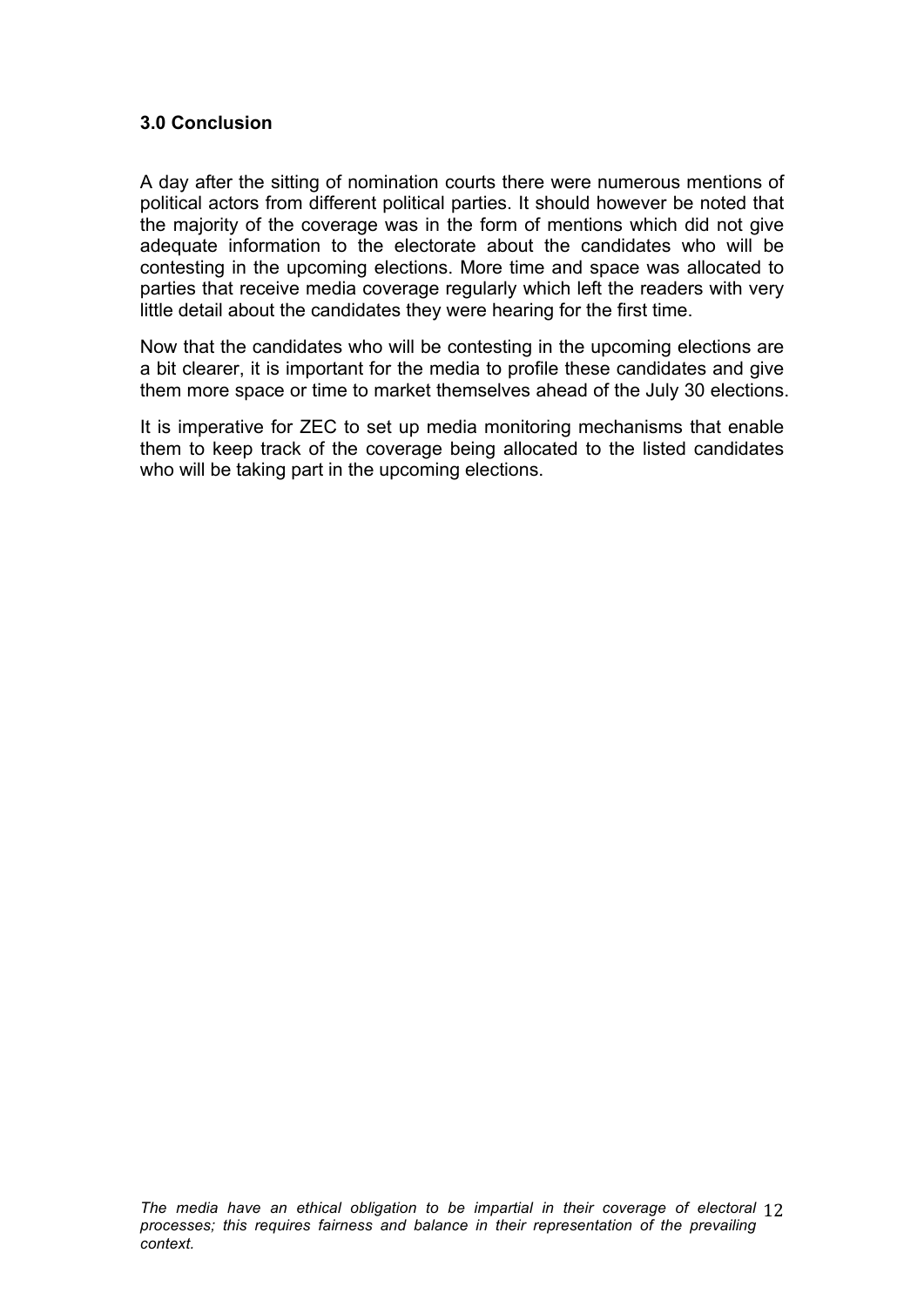### **3.0 Conclusion**

A day after the sitting of nomination courts there were numerous mentions of political actors from different political parties. It should however be noted that the majority of the coverage was in the form of mentions which did not give adequate information to the electorate about the candidates who will be contesting in the upcoming elections. More time and space was allocated to parties that receive media coverage regularly which left the readers with very little detail about the candidates they were hearing for the first time.

Now that the candidates who will be contesting in the upcoming elections are a bit clearer, it is important for the media to profile these candidates and give them more space or time to market themselves ahead of the July 30 elections.

It is imperative for ZEC to set up media monitoring mechanisms that enable them to keep track of the coverage being allocated to the listed candidates who will be taking part in the upcoming elections.